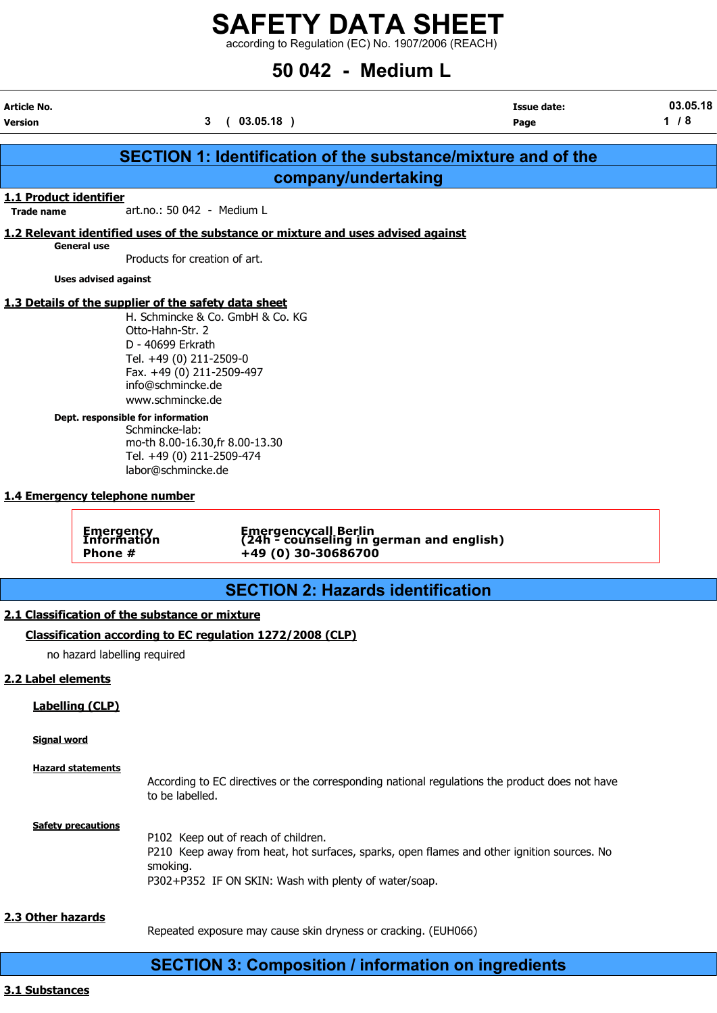according to Regulation (EC) No. 1907/2006 (REACH)

# 50 042 - Medium L

| Article No.                                |                                                                                                                                                                                                                                                                                                                                                                                 | <b>Issue date:</b> | 03.05.18 |
|--------------------------------------------|---------------------------------------------------------------------------------------------------------------------------------------------------------------------------------------------------------------------------------------------------------------------------------------------------------------------------------------------------------------------------------|--------------------|----------|
| <b>Version</b>                             | 3(03.05.18)                                                                                                                                                                                                                                                                                                                                                                     | Page               | $1/8$    |
|                                            | <b>SECTION 1: Identification of the substance/mixture and of the</b>                                                                                                                                                                                                                                                                                                            |                    |          |
|                                            |                                                                                                                                                                                                                                                                                                                                                                                 |                    |          |
| 1.1 Product identifier                     | company/undertaking                                                                                                                                                                                                                                                                                                                                                             |                    |          |
| <b>Trade name</b>                          | art.no.: 50 042 - Medium L                                                                                                                                                                                                                                                                                                                                                      |                    |          |
|                                            | 1.2 Relevant identified uses of the substance or mixture and uses advised against                                                                                                                                                                                                                                                                                               |                    |          |
| General use                                | Products for creation of art.                                                                                                                                                                                                                                                                                                                                                   |                    |          |
| <b>Uses advised against</b>                |                                                                                                                                                                                                                                                                                                                                                                                 |                    |          |
|                                            | 1.3 Details of the supplier of the safety data sheet<br>H. Schmincke & Co. GmbH & Co. KG<br>Otto-Hahn-Str. 2<br>D - 40699 Erkrath<br>Tel. +49 (0) 211-2509-0<br>Fax. +49 (0) 211-2509-497<br>info@schmincke.de<br>www.schmincke.de<br>Dept. responsible for information<br>Schmincke-lab:<br>mo-th 8.00-16.30, fr 8.00-13.30<br>Tel. +49 (0) 211-2509-474<br>labor@schmincke.de |                    |          |
| 1.4 Emergency telephone number             |                                                                                                                                                                                                                                                                                                                                                                                 |                    |          |
| <b>Emergency</b><br>Information<br>Phone # | Emergencycall Berlin<br>(24h - counseling in german and english)<br>+49 (0) 30-30686700                                                                                                                                                                                                                                                                                         |                    |          |
|                                            | <b>SECTION 2: Hazards identification</b>                                                                                                                                                                                                                                                                                                                                        |                    |          |
|                                            | 2.1 Classification of the substance or mixture                                                                                                                                                                                                                                                                                                                                  |                    |          |
|                                            | Classification according to EC regulation 1272/2008 (CLP)                                                                                                                                                                                                                                                                                                                       |                    |          |
| no hazard labelling required               |                                                                                                                                                                                                                                                                                                                                                                                 |                    |          |
| 2.2 Label elements                         |                                                                                                                                                                                                                                                                                                                                                                                 |                    |          |
|                                            |                                                                                                                                                                                                                                                                                                                                                                                 |                    |          |
| <b>Labelling (CLP)</b>                     |                                                                                                                                                                                                                                                                                                                                                                                 |                    |          |
| <b>Signal word</b>                         |                                                                                                                                                                                                                                                                                                                                                                                 |                    |          |
| <b>Hazard statements</b>                   | According to EC directives or the corresponding national regulations the product does not have<br>to be labelled.                                                                                                                                                                                                                                                               |                    |          |
| <b>Safety precautions</b>                  | P102 Keep out of reach of children.<br>P210 Keep away from heat, hot surfaces, sparks, open flames and other ignition sources. No<br>smoking.<br>P302+P352 IF ON SKIN: Wash with plenty of water/soap.                                                                                                                                                                          |                    |          |
| 2.3 Other hazards                          | Repeated exposure may cause skin dryness or cracking. (EUH066)                                                                                                                                                                                                                                                                                                                  |                    |          |
|                                            | <b>SECTION 3: Composition / information on ingredients</b>                                                                                                                                                                                                                                                                                                                      |                    |          |

3.1 Substances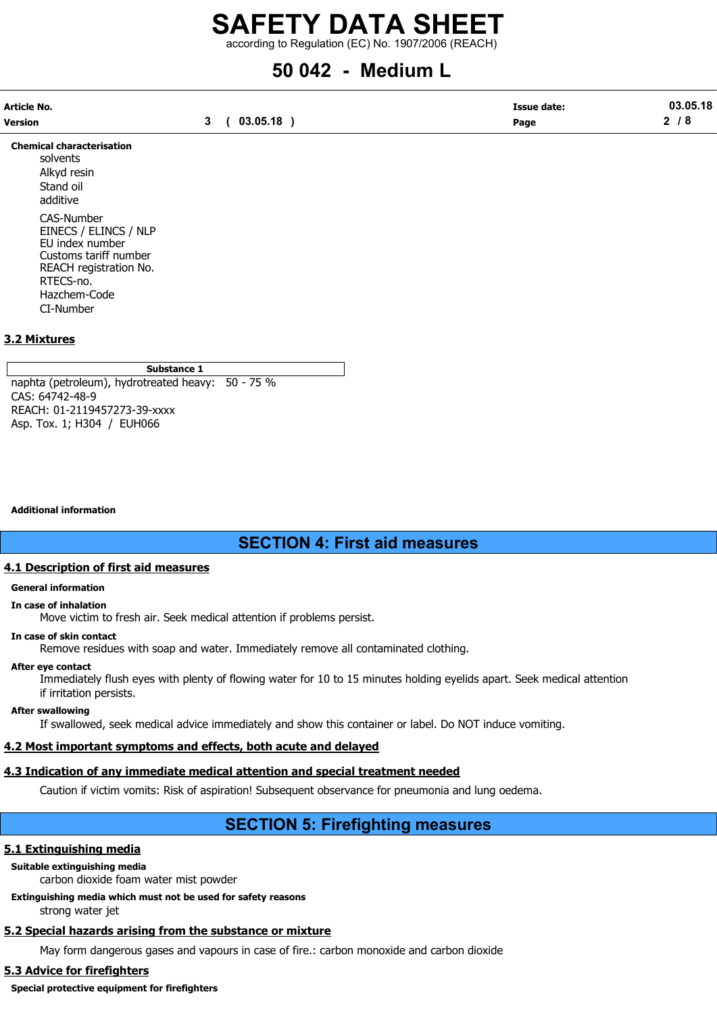according to Regulation (EC) No. 1907/2006 (REACH)

# 50 042 - Medium L

| Article No. |          | <b>Issue date:</b> | 03.05.18        |
|-------------|----------|--------------------|-----------------|
| Version     | 03.05.18 | Page               | ◠<br>$\sqrt{2}$ |

Chemical characterisation solvents Alkyd resin Stand oil additive CAS-Number EINECS / ELINCS / NLP EU index number Customs tariff number REACH registration No. RTECS-no. Hazchem-Code CI-Number

#### 3.2 Mixtures

#### Substance 1

naphta (petroleum), hydrotreated heavy: 50 - 75 % CAS: 64742-48-9 REACH: 01-2119457273-39-xxxx Asp. Tox. 1; H304 / EUH066

Additional information

# SECTION 4: First aid measures

#### 4.1 Description of first aid measures

#### General information

#### In case of inhalation

Move victim to fresh air. Seek medical attention if problems persist.

#### In case of skin contact

Remove residues with soap and water. Immediately remove all contaminated clothing.

#### After eye contact

Immediately flush eyes with plenty of flowing water for 10 to 15 minutes holding eyelids apart. Seek medical attention if irritation persists.

#### After swallowing

If swallowed, seek medical advice immediately and show this container or label. Do NOT induce vomiting.

## 4.2 Most important symptoms and effects, both acute and delayed

## 4.3 Indication of any immediate medical attention and special treatment needed

Caution if victim vomits: Risk of aspiration! Subsequent observance for pneumonia and lung oedema.

# SECTION 5: Firefighting measures

## 5.1 Extinguishing media

Suitable extinguishing media

carbon dioxide foam water mist powder

# Extinguishing media which must not be used for safety reasons

strong water jet

# 5.2 Special hazards arising from the substance or mixture

May form dangerous gases and vapours in case of fire.: carbon monoxide and carbon dioxide

## 5.3 Advice for firefighters

Special protective equipment for firefighters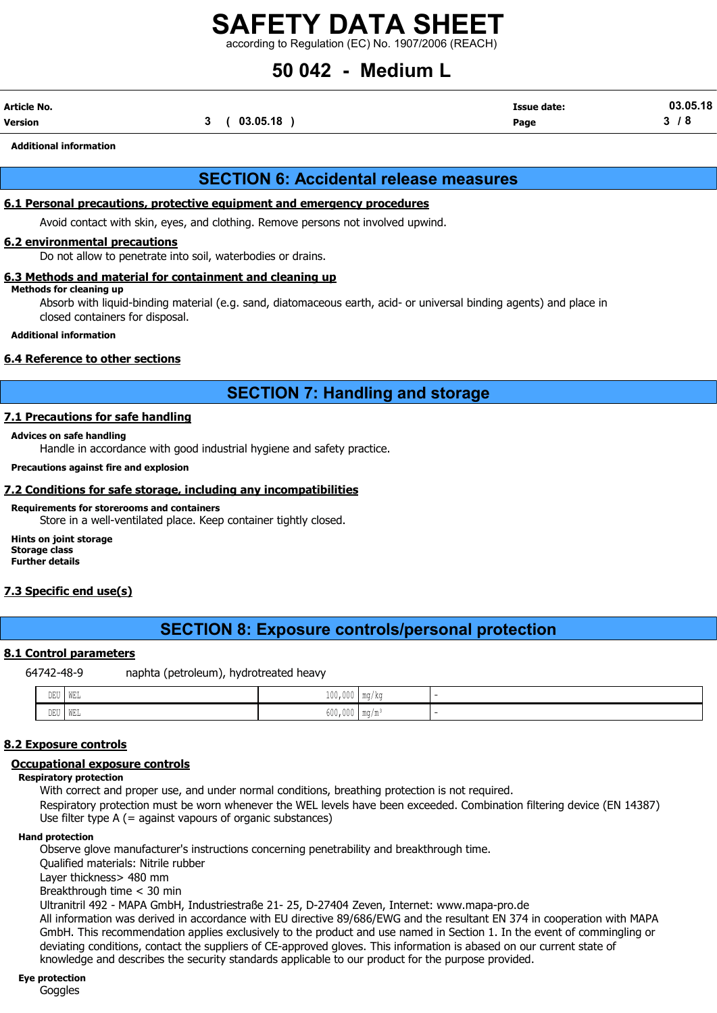according to Regulation (EC) No. 1907/2006 (REACH)

# 50 042 - Medium L

| Article No. |          | <b>Issue date:</b> | 03.05.18   |
|-------------|----------|--------------------|------------|
| Version     | 03.05.18 | Page               | ^<br>u<br> |

Additional information

## SECTION 6: Accidental release measures

#### 6.1 Personal precautions, protective equipment and emergency procedures

Avoid contact with skin, eyes, and clothing. Remove persons not involved upwind.

#### 6.2 environmental precautions

Do not allow to penetrate into soil, waterbodies or drains.

#### 6.3 Methods and material for containment and cleaning up

#### Methods for cleaning up

Absorb with liquid-binding material (e.g. sand, diatomaceous earth, acid- or universal binding agents) and place in closed containers for disposal.

#### Additional information

#### 6.4 Reference to other sections

## SECTION 7: Handling and storage

#### 7.1 Precautions for safe handling

#### Advices on safe handling

Handle in accordance with good industrial hygiene and safety practice.

#### Precautions against fire and explosion

#### 7.2 Conditions for safe storage, including any incompatibilities

#### Requirements for storerooms and containers

Store in a well-ventilated place. Keep container tightly closed.

Hints on joint storage Storage class Further details

#### 7.3 Specific end use(s)

## SECTION 8: Exposure controls/personal protection

#### 8.1 Control parameters

64742-48-9 naphta (petroleum), hydrotreated heavy

| the contract of the contract of the contract of the contract of the contract of the contract of the contract of<br>DEU | ' WEL | 1 N N<br>TOO'OOO IMMAR      |  |
|------------------------------------------------------------------------------------------------------------------------|-------|-----------------------------|--|
| DEU WEL                                                                                                                |       | $600,000$ mg/m <sup>3</sup> |  |

#### 8.2 Exposure controls

#### Occupational exposure controls

Respiratory protection

With correct and proper use, and under normal conditions, breathing protection is not required. Respiratory protection must be worn whenever the WEL levels have been exceeded. Combination filtering device (EN 14387)

Use filter type A (= against vapours of organic substances)

#### Hand protection

Observe glove manufacturer's instructions concerning penetrability and breakthrough time.

Qualified materials: Nitrile rubber

Layer thickness> 480 mm

Breakthrough time < 30 min

Ultranitril 492 - MAPA GmbH, Industriestraße 21- 25, D-27404 Zeven, Internet: www.mapa-pro.de All information was derived in accordance with EU directive 89/686/EWG and the resultant EN 374 in cooperation with MAPA GmbH. This recommendation applies exclusively to the product and use named in Section 1. In the event of commingling or deviating conditions, contact the suppliers of CE-approved gloves. This information is abased on our current state of knowledge and describes the security standards applicable to our product for the purpose provided.

#### Eye protection

**Goggles**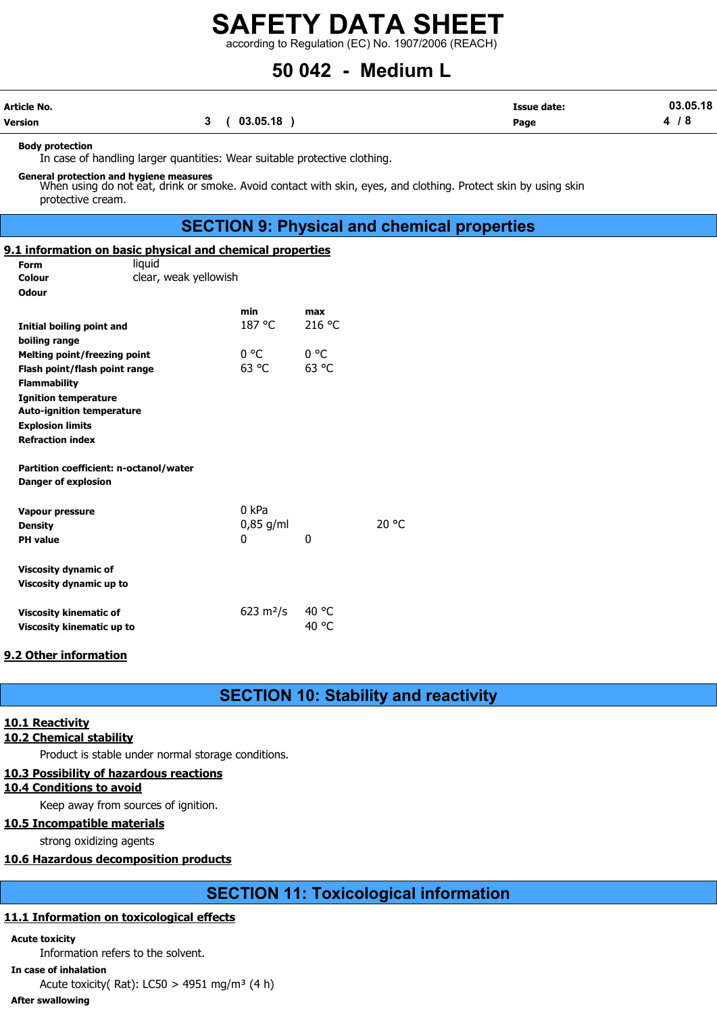according to Regulation (EC) No. 1907/2006 (REACH)

# 50 042 - Medium L

| Article No. |            | <b>Issue date:</b> | 03.05.18 |
|-------------|------------|--------------------|----------|
| Version     | (03.05.18) | Page               | 4<br>് Q |

#### Body protection

In case of handling larger quantities: Wear suitable protective clothing.

General protection and hygiene measures<br>When using do not eat, drink or smoke. Avoid contact with skin, eyes, and clothing. Protect skin by using skin protective cream.

## SECTION 9: Physical and chemical properties

#### 9.1 information on basic physical and chemical properties

| <b>Form</b>                                                          | liquid                |                       |        |       |
|----------------------------------------------------------------------|-----------------------|-----------------------|--------|-------|
| Colour                                                               | clear, weak yellowish |                       |        |       |
| <b>Odour</b>                                                         |                       |                       |        |       |
|                                                                      |                       | min                   | max    |       |
| Initial boiling point and                                            |                       | 187 °C                | 216 °C |       |
| boiling range                                                        |                       |                       |        |       |
| Melting point/freezing point                                         |                       | 0 °C                  | 0 °C   |       |
| Flash point/flash point range                                        |                       | 63 °C                 | 63 °C  |       |
| <b>Flammability</b>                                                  |                       |                       |        |       |
| <b>Ignition temperature</b>                                          |                       |                       |        |       |
| <b>Auto-ignition temperature</b>                                     |                       |                       |        |       |
| <b>Explosion limits</b>                                              |                       |                       |        |       |
| <b>Refraction index</b>                                              |                       |                       |        |       |
|                                                                      |                       |                       |        |       |
| Partition coefficient: n-octanol/water<br><b>Danger of explosion</b> |                       |                       |        |       |
|                                                                      |                       |                       |        |       |
| <b>Vapour pressure</b>                                               |                       | 0 kPa                 |        |       |
| <b>Density</b>                                                       |                       | $0,85$ g/ml           |        | 20 °C |
| <b>PH</b> value                                                      |                       | 0                     | 0      |       |
|                                                                      |                       |                       |        |       |
| <b>Viscosity dynamic of</b>                                          |                       |                       |        |       |
| Viscosity dynamic up to                                              |                       |                       |        |       |
|                                                                      |                       |                       |        |       |
| <b>Viscosity kinematic of</b>                                        |                       | 623 m <sup>2</sup> /s | 40 °C  |       |
| Viscosity kinematic up to                                            |                       |                       | 40 °C  |       |

#### 9.2 Other information

SECTION 10: Stability and reactivity

#### 10.1 Reactivity

#### 10.2 Chemical stability

Product is stable under normal storage conditions.

#### 10.3 Possibility of hazardous reactions

#### 10.4 Conditions to avoid

Keep away from sources of ignition.

#### 10.5 Incompatible materials

strong oxidizing agents

#### 10.6 Hazardous decomposition products

# SECTION 11: Toxicological information

### 11.1 Information on toxicological effects

#### Acute toxicity

Information refers to the solvent.

In case of inhalation

Acute toxicity(Rat): LC50 > 4951 mg/m<sup>3</sup> (4 h)

#### After swallowing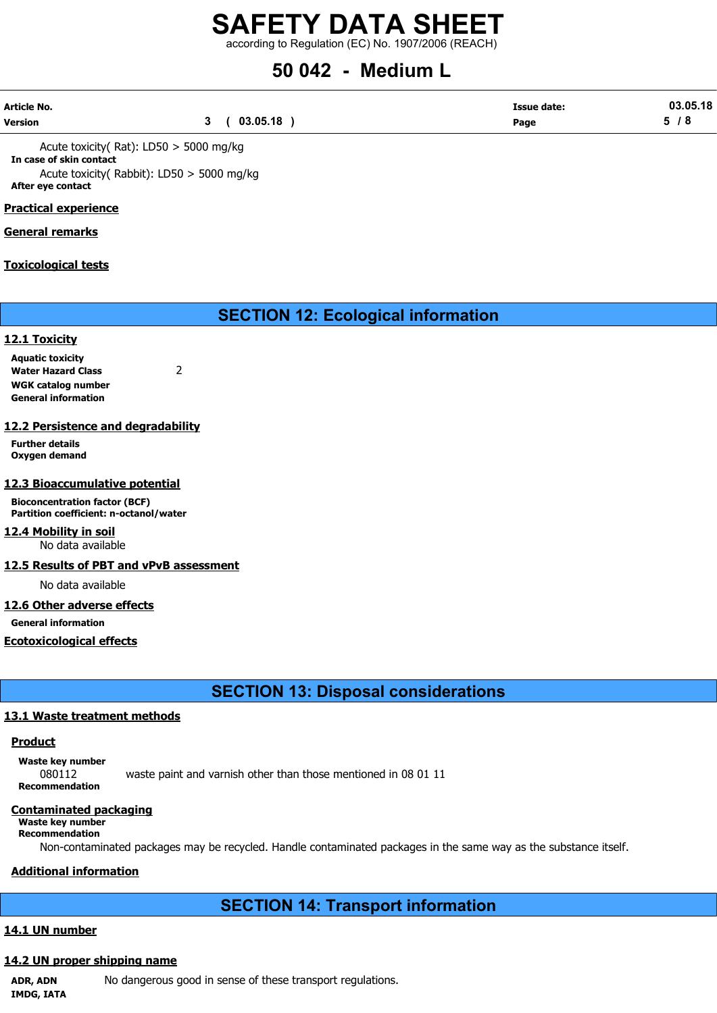according to Regulation (EC) No. 1907/2006 (REACH)

# 50 042 - Medium L

| Article No. |          | <b>Issue date:</b> | 03.05.18 |
|-------------|----------|--------------------|----------|
| Version     | 03.05.18 | Page               | . O      |

Acute toxicity( Rat): LD50 > 5000 mg/kg In case of skin contact Acute toxicity( Rabbit): LD50 > 5000 mg/kg After eye contact

#### Practical experience

#### General remarks

#### Toxicological tests

# SECTION 12: Ecological information

#### 12.1 Toxicity

Aquatic toxicity Water Hazard Class 2 WGK catalog number General information

#### 12.2 Persistence and degradability

Further details Oxygen demand

#### 12.3 Bioaccumulative potential

Bioconcentration factor (BCF) Partition coefficient: n-octanol/water

## 12.4 Mobility in soil

No data available

#### 12.5 Results of PBT and vPvB assessment

No data available

#### 12.6 Other adverse effects

General information

#### Ecotoxicological effects

SECTION 13: Disposal considerations

#### 13.1 Waste treatment methods

#### **Product**

Waste key number 080112 waste paint and varnish other than those mentioned in 08 01 11 Recommendation

#### Contaminated packaging

Waste key number Recommendation

Non-contaminated packages may be recycled. Handle contaminated packages in the same way as the substance itself.

## Additional information

# SECTION 14: Transport information

#### 14.1 UN number

#### 14.2 UN proper shipping name

ADR, ADN No dangerous good in sense of these transport regulations. IMDG, IATA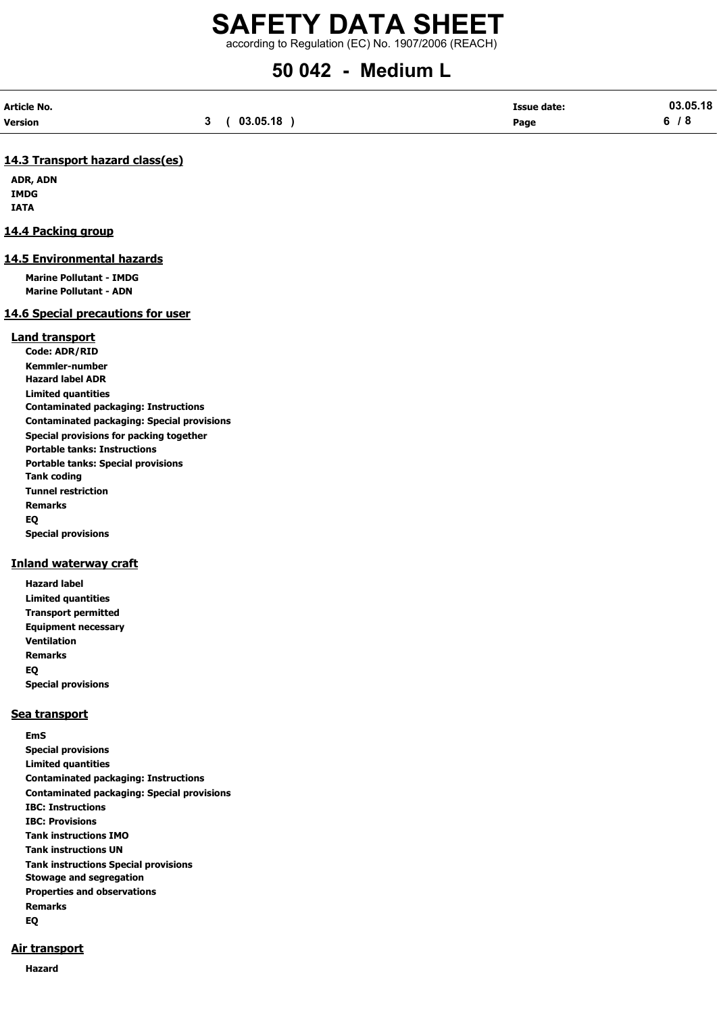according to Regulation (EC) No. 1907/2006 (REACH)

# 50 042 - Medium L

| Article No. |             | <b>Issue date:</b> | 03.05.18 |
|-------------|-------------|--------------------|----------|
| Version     | 3(03.05.18) | Page               | 6/8      |

#### 14.3 Transport hazard class(es)

ADR, ADN IMDG IATA

#### 14.4 Packing group

#### 14.5 Environmental hazards

Marine Pollutant - IMDG Marine Pollutant - ADN

#### 14.6 Special precautions for user

#### Land transport

Code: ADR/RID Kemmler-number Hazard label ADR Limited quantities Contaminated packaging: Instructions Contaminated packaging: Special provisions Special provisions for packing together Portable tanks: Instructions Portable tanks: Special provisions Tank coding Tunnel restriction Remarks EQ Special provisions

#### Inland waterway craft

Hazard label Limited quantities Transport permitted Equipment necessary Ventilation Remarks EQ Special provisions

#### Sea transport

EmS Special provisions Limited quantities Contaminated packaging: Instructions Contaminated packaging: Special provisions IBC: Instructions IBC: Provisions Tank instructions IMO Tank instructions UN Tank instructions Special provisions Stowage and segregation Properties and observations Remarks EQ

#### Air transport

Hazard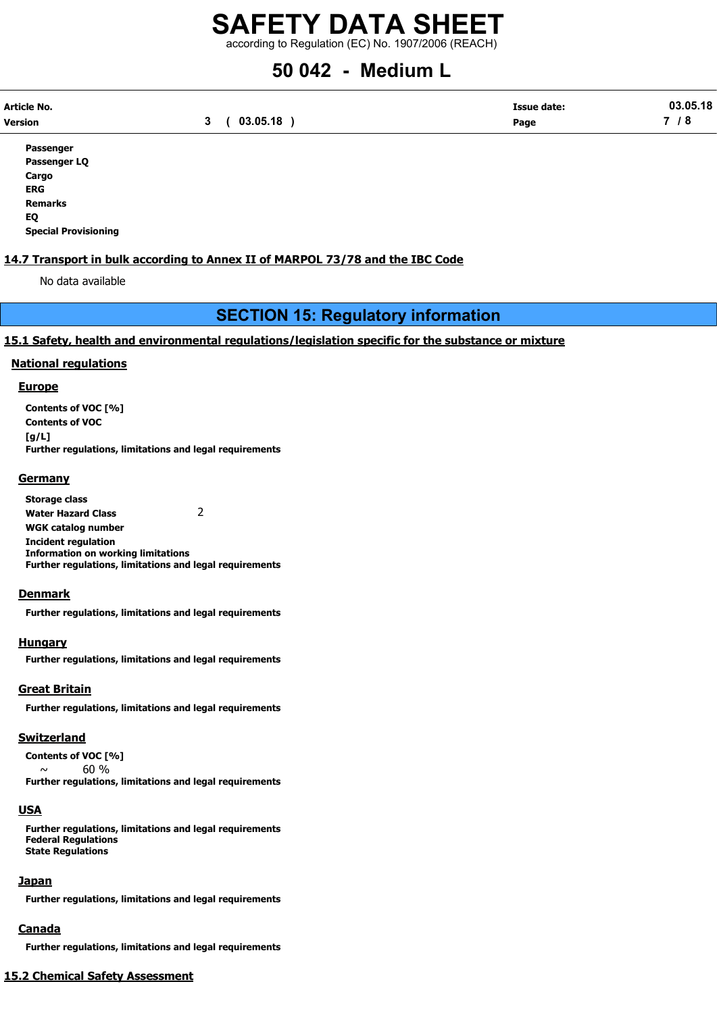according to Regulation (EC) No. 1907/2006 (REACH)

# 50 042 - Medium L

| Article No. |             | <b>Issue date:</b> | 03.05.18 |
|-------------|-------------|--------------------|----------|
| Version     | 3(03.05.18) | Page               | 7 / 8    |

Passenger Passenger LQ Cargo ERG Remarks EQ Special Provisioning

### 14.7 Transport in bulk according to Annex II of MARPOL 73/78 and the IBC Code

No data available

# SECTION 15: Regulatory information

#### 15.1 Safety, health and environmental regulations/legislation specific for the substance or mixture

#### National regulations

#### **Europe**

Contents of VOC [%] Contents of VOC [g/L] Further regulations, limitations and legal requirements

#### **Germany**

Storage class Water Hazard Class 2 WGK catalog number Incident regulation Information on working limitations Further regulations, limitations and legal requirements

#### **Denmark**

Further regulations, limitations and legal requirements

#### **Hungary**

Further regulations, limitations and legal requirements

## Great Britain

Further regulations, limitations and legal requirements

## Switzerland

Contents of VOC [%]  $\sim$  60 % Further regulations, limitations and legal requirements

## USA

Further regulations, limitations and legal requirements Federal Regulations State Regulations

## Japan

Further regulations, limitations and legal requirements

## Canada

Further regulations, limitations and legal requirements

# 15.2 Chemical Safety Assessment